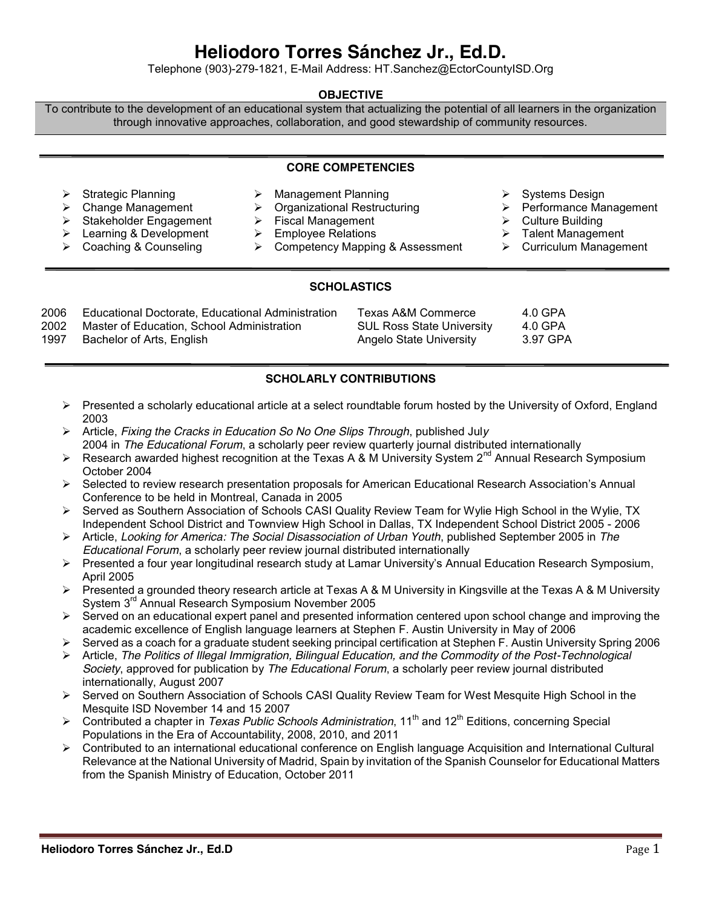# **Heliodoro Torres Sánchez Jr., Ed.D.**

Telephone (903)-279-1821, E-Mail Address: [HT.Sanchez@EctorCountyISD.Org](mailto:HT.Sanchez@EctorCountyISD.Org)

## **OBJECTIVE**

To contribute to the development of an educational system that actualizing the potential of all learners in the organization through innovative approaches, collaboration, and good stewardship of community resources.

#### **CORE COMPETENCIES**

 Strategic Planning Management Planning Systems Design  $\triangleright$  Organizational Restructuring A Stakeholder Engagement 
→ Stakeholder Engagement 
→ Fiscal Management 
→ Culture Building > Learning & Development → Employee Relations → Talent Management<br>
> Coaching & Counseling → Competency Mapping & Assessment → Curriculum Management  $\triangleright$  Competency Mapping & Assessment

## **SCHOLASTICS**

| 2006 | Educational Doctorate, Educational Administration | Texas A&M Commerce               | 4.0 GPA  |
|------|---------------------------------------------------|----------------------------------|----------|
| 2002 | Master of Education, School Administration        | <b>SUL Ross State University</b> | 4.0 GPA  |
| 1997 | Bachelor of Arts, English                         | Angelo State University          | 3.97 GPA |
|      |                                                   |                                  |          |

# **SCHOLARLY CONTRIBUTIONS**

- $\triangleright$  Presented a scholarly educational article at a select roundtable forum hosted by the University of Oxford, England 2003
- Article, *Fixing the Cracks in Education So No One Slips Through*, published Jul*y* 2004 in *The Educational Forum*, a scholarly peer review quarterly journal distributed internationally
- Research awarded highest recognition at the Texas A & M University System  $2^{nd}$  Annual Research Symposium October 2004
- $\triangleright$  Selected to review research presentation proposals for American Educational Research Association's Annual Conference to be held in Montreal, Canada in 2005
- ▶ Served as Southern Association of Schools CASI Quality Review Team for Wylie High School in the Wylie, TX Independent School District and Townview High School in Dallas, TX Independent School District 2005 - 2006
- Article, *Looking for America: The Social Disassociation of Urban Youth*, published September 2005 in *The Educational Forum*, a scholarly peer review journal distributed internationally
- Presented a four year longitudinal research study at Lamar University's Annual Education Research Symposium, April 2005
- $\triangleright$  Presented a grounded theory research article at Texas A & M University in Kingsville at the Texas A & M University System 3rd Annual Research Symposium November 2005
- $\triangleright$  Served on an educational expert panel and presented information centered upon school change and improving the academic excellence of English language learners at Stephen F. Austin University in May of 2006
- Served as a coach for a graduate student seeking principal certification at Stephen F. Austin University Spring 2006
- Article, *The Politics of Illegal Immigration, Bilingual Education, and the Commodity of the Post-Technological Society*, approved for publication by *The Educational Forum*, a scholarly peer review journal distributed internationally, August 2007
- Served on Southern Association of Schools CASI Quality Review Team for West Mesquite High School in the Mesquite ISD November 14 and 15 2007
- ▶ Contributed a chapter in *Texas Public Schools Administration*, 11<sup>th</sup> and 12<sup>th</sup> Editions, concerning Special Populations in the Era of Accountability, 2008, 2010, and 2011
- $\triangleright$  Contributed to an international educational conference on English language Acquisition and International Cultural Relevance at the National University of Madrid, Spain by invitation of the Spanish Counselor for Educational Matters from the Spanish Ministry of Education, October 2011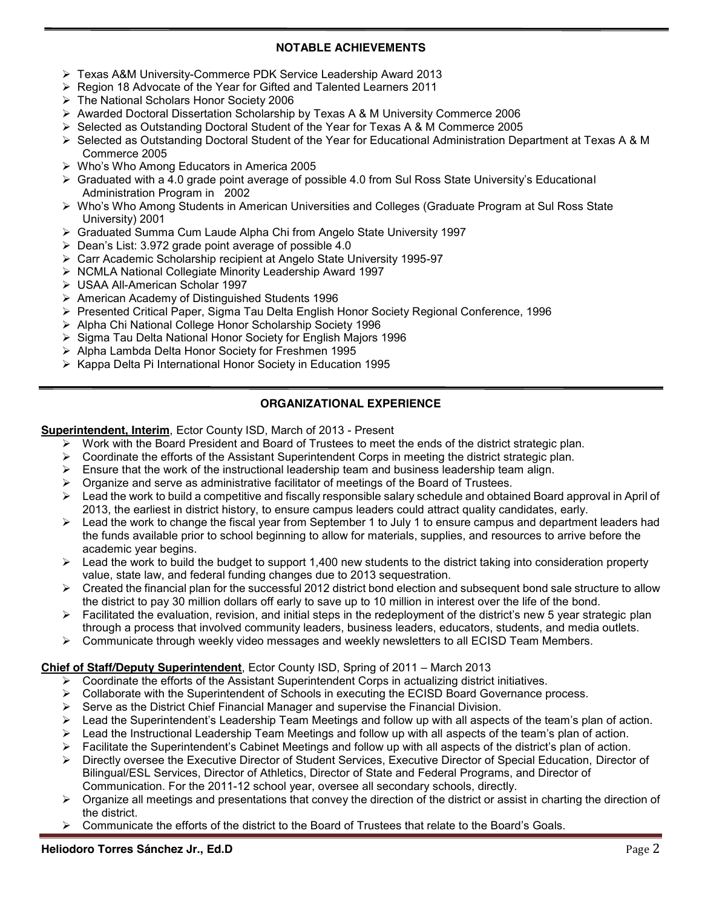## **NOTABLE ACHIEVEMENTS**

- Texas A&M University-Commerce PDK Service Leadership Award 2013
- ▶ Region 18 Advocate of the Year for Gifted and Talented Learners 2011
- The National Scholars Honor Society 2006
- $\triangleright$  Awarded Doctoral Dissertation Scholarship by Texas A & M University Commerce 2006
- $\triangleright$  Selected as Outstanding Doctoral Student of the Year for Texas A & M Commerce 2005
- $\triangleright$  Selected as Outstanding Doctoral Student of the Year for Educational Administration Department at Texas A & M Commerce 2005
- Who's Who Among Educators in America 2005
- $\triangleright$  Graduated with a 4.0 grade point average of possible 4.0 from Sul Ross State University's Educational Administration Program in 2002
- Who's Who Among Students in American Universities and Colleges (Graduate Program at Sul Ross State University) 2001
- $\triangleright$  Graduated Summa Cum Laude Alpha Chi from Angelo State University 1997
- $\triangleright$  Dean's List: 3.972 grade point average of possible 4.0
- Carr Academic Scholarship recipient at Angelo State University 1995-97
- ▶ NCMLA National Collegiate Minority Leadership Award 1997
- USAA All-American Scholar 1997
- American Academy of Distinguished Students 1996
- Presented Critical Paper, Sigma Tau Delta English Honor Society Regional Conference, 1996
- Alpha Chi National College Honor Scholarship Society 1996
- ▶ Sigma Tau Delta National Honor Society for English Majors 1996
- > Alpha Lambda Delta Honor Society for Freshmen 1995
- $\triangleright$  Kappa Delta Pi International Honor Society in Education 1995

# **ORGANIZATIONAL EXPERIENCE**

**Superintendent, Interim**, Ector County ISD, March of 2013 - Present

- $\triangleright$  Work with the Board President and Board of Trustees to meet the ends of the district strategic plan.
- $\triangleright$  Coordinate the efforts of the Assistant Superintendent Corps in meeting the district strategic plan.
- $\triangleright$  Ensure that the work of the instructional leadership team and business leadership team align.
- $\triangleright$  Organize and serve as administrative facilitator of meetings of the Board of Trustees.
- $\triangleright$  Lead the work to build a competitive and fiscally responsible salary schedule and obtained Board approval in April of 2013, the earliest in district history, to ensure campus leaders could attract quality candidates, early.
- $\triangleright$  Lead the work to change the fiscal year from September 1 to July 1 to ensure campus and department leaders had the funds available prior to school beginning to allow for materials, supplies, and resources to arrive before the academic year begins.
- $\triangleright$  Lead the work to build the budget to support 1,400 new students to the district taking into consideration property value, state law, and federal funding changes due to 2013 sequestration.
- $\triangleright$  Created the financial plan for the successful 2012 district bond election and subsequent bond sale structure to allow the district to pay 30 million dollars off early to save up to 10 million in interest over the life of the bond.
- $\triangleright$  Facilitated the evaluation, revision, and initial steps in the redeployment of the district's new 5 year strategic plan through a process that involved community leaders, business leaders, educators, students, and media outlets.
- $\triangleright$  Communicate through weekly video messages and weekly newsletters to all ECISD Team Members.

## **Chief of Staff/Deputy Superintendent**, Ector County ISD, Spring of 2011 – March 2013

- $\triangleright$  Coordinate the efforts of the Assistant Superintendent Corps in actualizing district initiatives.
- $\triangleright$  Collaborate with the Superintendent of Schools in executing the ECISD Board Governance process.
- $\triangleright$  Serve as the District Chief Financial Manager and supervise the Financial Division.
- $\triangleright$  Lead the Superintendent's Leadership Team Meetings and follow up with all aspects of the team's plan of action.
- $\triangleright$  Lead the Instructional Leadership Team Meetings and follow up with all aspects of the team's plan of action.
- $\triangleright$  Facilitate the Superintendent's Cabinet Meetings and follow up with all aspects of the district's plan of action.
- Directly oversee the Executive Director of Student Services, Executive Director of Special Education, Director of Bilingual/ESL Services, Director of Athletics, Director of State and Federal Programs, and Director of Communication. For the 2011-12 school year, oversee all secondary schools, directly.
- $\triangleright$  Organize all meetings and presentations that convey the direction of the district or assist in charting the direction of the district.
- Communicate the efforts of the district to the Board of Trustees that relate to the Board's Goals.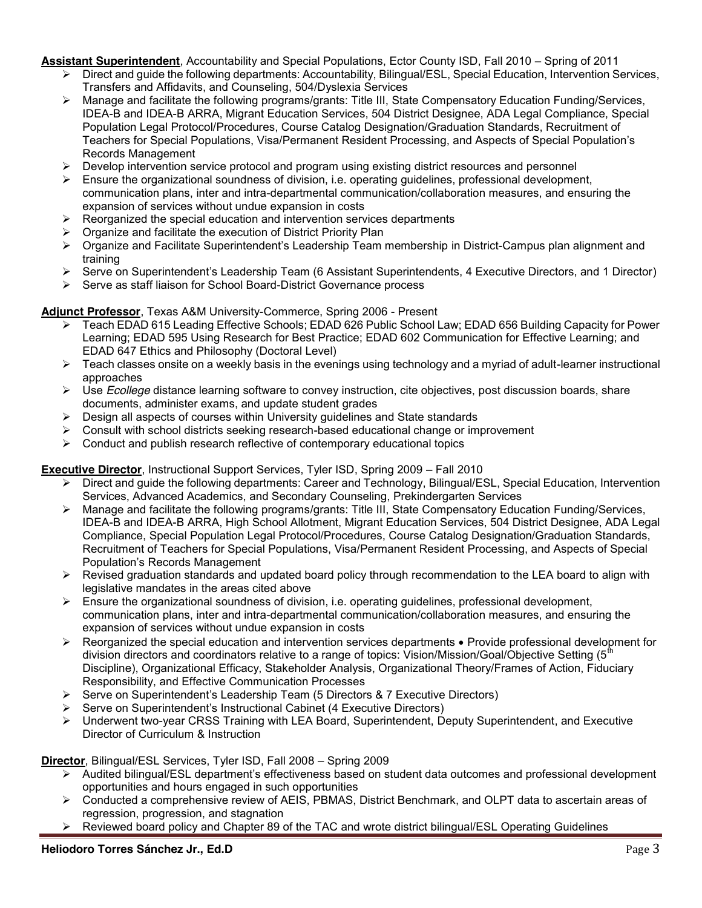**Assistant Superintendent**, Accountability and Special Populations, Ector County ISD, Fall 2010 – Spring of 2011

- $\triangleright$  Direct and guide the following departments: Accountability, Bilingual/ESL, Special Education, Intervention Services, Transfers and Affidavits, and Counseling, 504/Dyslexia Services
- Manage and facilitate the following programs/grants: Title III, State Compensatory Education Funding/Services, IDEA-B and IDEA-B ARRA, Migrant Education Services, 504 District Designee, ADA Legal Compliance, Special Population Legal Protocol/Procedures, Course Catalog Designation/Graduation Standards, Recruitment of Teachers for Special Populations, Visa/Permanent Resident Processing, and Aspects of Special Population's Records Management
- $\triangleright$  Develop intervention service protocol and program using existing district resources and personnel
- $\triangleright$  Ensure the organizational soundness of division, i.e. operating guidelines, professional development, communication plans, inter and intra-departmental communication/collaboration measures, and ensuring the expansion of services without undue expansion in costs
- $\triangleright$  Reorganized the special education and intervention services departments
- $\triangleright$  Organize and facilitate the execution of District Priority Plan
- ▶ Organize and Facilitate Superintendent's Leadership Team membership in District-Campus plan alignment and training
- Serve on Superintendent's Leadership Team (6 Assistant Superintendents, 4 Executive Directors, and 1 Director)
- $\triangleright$  Serve as staff liaison for School Board-District Governance process

## **Adjunct Professor**, Texas A&M University-Commerce, Spring 2006 - Present

- Teach EDAD 615 Leading Effective Schools; EDAD 626 Public School Law; EDAD 656 Building Capacity for Power Learning; EDAD 595 Using Research for Best Practice; EDAD 602 Communication for Effective Learning; and EDAD 647 Ethics and Philosophy (Doctoral Level)
- $\triangleright$  Teach classes onsite on a weekly basis in the evenings using technology and a myriad of adult-learner instructional approaches
- Use *Ecollege* distance learning software to convey instruction, cite objectives, post discussion boards, share documents, administer exams, and update student grades
- $\triangleright$  Design all aspects of courses within University guidelines and State standards
- Consult with school districts seeking research-based educational change or improvement
- $\triangleright$  Conduct and publish research reflective of contemporary educational topics

**Executive Director**, Instructional Support Services, Tyler ISD, Spring 2009 – Fall 2010

- Direct and guide the following departments: Career and Technology, Bilingual/ESL, Special Education, Intervention Services, Advanced Academics, and Secondary Counseling, Prekindergarten Services
- Manage and facilitate the following programs/grants: Title III, State Compensatory Education Funding/Services, IDEA-B and IDEA-B ARRA, High School Allotment, Migrant Education Services, 504 District Designee, ADA Legal Compliance, Special Population Legal Protocol/Procedures, Course Catalog Designation/Graduation Standards, Recruitment of Teachers for Special Populations, Visa/Permanent Resident Processing, and Aspects of Special Population's Records Management
- $\triangleright$  Revised graduation standards and updated board policy through recommendation to the LEA board to align with legislative mandates in the areas cited above
- $\triangleright$  Ensure the organizational soundness of division, i.e. operating quidelines, professional development, communication plans, inter and intra-departmental communication/collaboration measures, and ensuring the expansion of services without undue expansion in costs
- $\triangleright$  Reorganized the special education and intervention services departments  $\cdot$  Provide professional development for division directors and coordinators relative to a range of topics: Vision/Mission/Goal/Objective Setting ( $5<sup>th</sup>$ Discipline), Organizational Efficacy, Stakeholder Analysis, Organizational Theory/Frames of Action, Fiduciary Responsibility, and Effective Communication Processes
- Serve on Superintendent's Leadership Team (5 Directors & 7 Executive Directors)
- $\triangleright$  Serve on Superintendent's Instructional Cabinet (4 Executive Directors)
- Underwent two-year CRSS Training with LEA Board, Superintendent, Deputy Superintendent, and Executive Director of Curriculum & Instruction

**Director**, Bilingual/ESL Services, Tyler ISD, Fall 2008 – Spring 2009

- $\triangleright$  Audited bilingual/ESL department's effectiveness based on student data outcomes and professional development opportunities and hours engaged in such opportunities
- Conducted a comprehensive review of AEIS, PBMAS, District Benchmark, and OLPT data to ascertain areas of regression, progression, and stagnation
- Reviewed board policy and Chapter 89 of the TAC and wrote district bilingual/ESL Operating Guidelines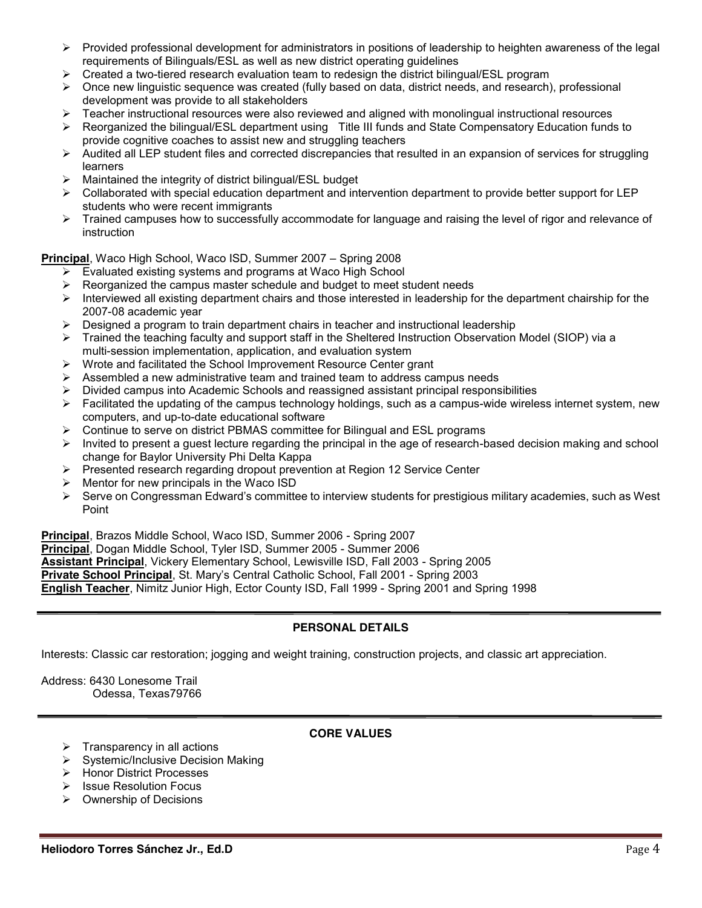- $\triangleright$  Provided professional development for administrators in positions of leadership to heighten awareness of the legal requirements of Bilinguals/ESL as well as new district operating guidelines
- $\triangleright$  Created a two-tiered research evaluation team to redesign the district bilingual/ESL program
- $\triangleright$  Once new linguistic sequence was created (fully based on data, district needs, and research), professional development was provide to all stakeholders
- Teacher instructional resources were also reviewed and aligned with monolingual instructional resources
- Reorganized the bilingual/ESL department using Title III funds and State Compensatory Education funds to provide cognitive coaches to assist new and struggling teachers
- $\triangleright$  Audited all LEP student files and corrected discrepancies that resulted in an expansion of services for struggling learners
- $\triangleright$  Maintained the integrity of district bilingual/ESL budget
- $\triangleright$  Collaborated with special education department and intervention department to provide better support for LEP students who were recent immigrants
- > Trained campuses how to successfully accommodate for language and raising the level of rigor and relevance of instruction

**Principal**, Waco High School, Waco ISD, Summer 2007 – Spring 2008

- Evaluated existing systems and programs at Waco High School
- Reorganized the campus master schedule and budget to meet student needs
- $\triangleright$  Interviewed all existing department chairs and those interested in leadership for the department chairship for the 2007-08 academic year
- $\triangleright$  Designed a program to train department chairs in teacher and instructional leadership
- $\triangleright$  Trained the teaching faculty and support staff in the Sheltered Instruction Observation Model (SIOP) via a multi-session implementation, application, and evaluation system
- Wrote and facilitated the School Improvement Resource Center grant
- $\triangleright$  Assembled a new administrative team and trained team to address campus needs
- Divided campus into Academic Schools and reassigned assistant principal responsibilities
- $\triangleright$  Facilitated the updating of the campus technology holdings, such as a campus-wide wireless internet system, new computers, and up-to-date educational software
- $\triangleright$  Continue to serve on district PBMAS committee for Bilingual and ESL programs
- $\triangleright$  Invited to present a quest lecture regarding the principal in the age of research-based decision making and school change for Baylor University Phi Delta Kappa
- $\triangleright$  Presented research regarding dropout prevention at Region 12 Service Center
- $\triangleright$  Mentor for new principals in the Waco ISD
- Serve on Congressman Edward's committee to interview students for prestigious military academies, such as West Point

**Principal**, Brazos Middle School, Waco ISD, Summer 2006 - Spring 2007 **Principal**, Dogan Middle School, Tyler ISD, Summer 2005 - Summer 2006 **Assistant Principal**, Vickery Elementary School, Lewisville ISD, Fall 2003 - Spring 2005 **Private School Principal**, St. Mary's Central Catholic School, Fall 2001 - Spring 2003 **English Teacher**, Nimitz Junior High, Ector County ISD, Fall 1999 - Spring 2001 and Spring 1998

## **PERSONAL DETAILS**

Interests: Classic car restoration; jogging and weight training, construction projects, and classic art appreciation.

Address: 6430 Lonesome Trail Odessa, Texas79766

## **CORE VALUES**

- $\triangleright$  Transparency in all actions
- $\triangleright$  Systemic/Inclusive Decision Making
- > Honor District Processes
- $\triangleright$  Issue Resolution Focus
- $\triangleright$  Ownership of Decisions